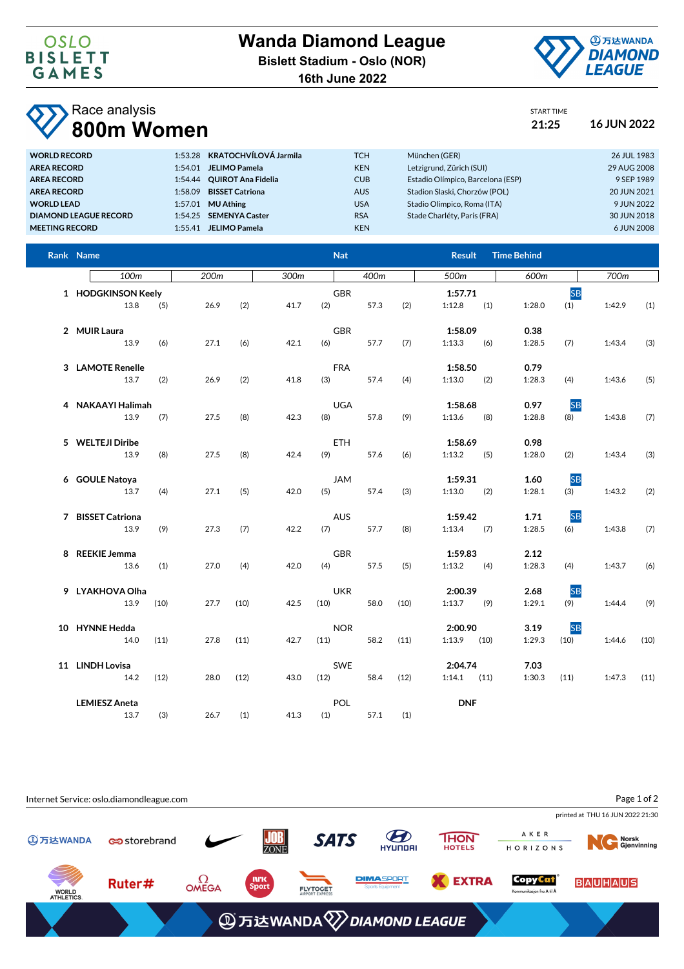

START TIME

## Race analysis **800m Women 21:25 16 JUN 2022**

| 1:53.28 KRATOCHVÍLOVÁ Jarmila<br><b>TCH</b><br>München (GER)<br><b>WORLD RECORD</b>                           | 26 JUL 1983 |
|---------------------------------------------------------------------------------------------------------------|-------------|
| Letzigrund, Zürich (SUI)<br><b>KEN</b><br><b>AREA RECORD</b><br><b>JELIMO Pamela</b><br>1:54.01               | 29 AUG 2008 |
| Estadio Olímpico, Barcelona (ESP)<br><b>CUB</b><br><b>OUIROT Ana Fidelia</b><br><b>AREA RECORD</b><br>1:54.44 | 9 SEP 1989  |
| Stadion Slaski, Chorzów (POL)<br><b>BISSET Catriona</b><br><b>AUS</b><br><b>AREA RECORD</b><br>1:58.09        | 20 JUN 2021 |
| Stadio Olimpico, Roma (ITA)<br><b>MU Athing</b><br><b>USA</b><br><b>WORLD LEAD</b><br>1:57.01                 | 9 JUN 2022  |
| <b>RSA</b><br>Stade Charléty, Paris (FRA)<br>1:54.25 SEMENYA Caster<br><b>DIAMOND LEAGUE RECORD</b>           | 30 JUN 2018 |
| <b>KEN</b><br><b>JELIMO Pamela</b><br><b>MEETING RECORD</b><br>1:55.41                                        | 6 JUN 2008  |

| Rank Name                    |      |      |      |              | <b>Nat</b>         |      | <b>Result</b>              | <b>Time Behind</b> |                             |      |
|------------------------------|------|------|------|--------------|--------------------|------|----------------------------|--------------------|-----------------------------|------|
| 100m                         |      | 200m |      | 300m         | 400m               |      | 500m                       | 600m               | 700m                        |      |
| 1 HODGKINSON Keely<br>13.8   | (5)  | 26.9 | (2)  | (2)<br>41.7  | <b>GBR</b><br>57.3 | (2)  | 1:57.71<br>1:12.8<br>(1)   | 1:28.0             | <b>SB</b><br>(1)<br>1:42.9  | (1)  |
| 2 MUIR Laura<br>13.9         | (6)  | 27.1 | (6)  | 42.1<br>(6)  | <b>GBR</b><br>57.7 | (7)  | 1:58.09<br>1:13.3<br>(6)   | 0.38<br>1:28.5     | 1:43.4<br>(7)               | (3)  |
| 3 LAMOTE Renelle<br>13.7     | (2)  | 26.9 | (2)  | (3)<br>41.8  | <b>FRA</b><br>57.4 | (4)  | 1:58.50<br>1:13.0<br>(2)   | 0.79<br>1:28.3     | 1:43.6<br>(4)               | (5)  |
| 4 NAKAAYI Halimah<br>13.9    | (7)  | 27.5 | (8)  | 42.3<br>(8)  | <b>UGA</b><br>57.8 | (9)  | 1:58.68<br>1:13.6<br>(8)   | 0.97<br>1:28.8     | <b>SB</b><br>1:43.8<br>(8)  | (7)  |
| 5 WELTEJI Diribe<br>13.9     | (8)  | 27.5 | (8)  | 42.4<br>(9)  | <b>ETH</b><br>57.6 | (6)  | 1:58.69<br>1:13.2<br>(5)   | 0.98<br>1:28.0     | (2)<br>1:43.4               | (3)  |
| 6 GOULE Natoya<br>13.7       | (4)  | 27.1 | (5)  | 42.0<br>(5)  | <b>JAM</b><br>57.4 | (3)  | 1:59.31<br>1:13.0<br>(2)   | 1.60<br>1:28.1     | <b>SB</b><br>(3)<br>1:43.2  | (2)  |
| 7 BISSET Catriona<br>13.9    | (9)  | 27.3 | (7)  | 42.2<br>(7)  | <b>AUS</b><br>57.7 | (8)  | 1:59.42<br>1:13.4<br>(7)   | 1.71<br>1:28.5     | <b>SB</b><br>(6)<br>1:43.8  | (7)  |
| 8 REEKIE Jemma<br>13.6       | (1)  | 27.0 | (4)  | 42.0<br>(4)  | <b>GBR</b><br>57.5 | (5)  | 1:59.83<br>1:13.2<br>(4)   | 2.12<br>1:28.3     | 1:43.7<br>(4)               | (6)  |
| 9 LYAKHOVA Olha<br>13.9      | (10) | 27.7 | (10) | 42.5<br>(10) | <b>UKR</b><br>58.0 | (10) | 2:00.39<br>1:13.7<br>(9)   | 2.68<br>1:29.1     | <b>SB</b><br>(9)<br>1:44.4  | (9)  |
| 10 HYNNE Hedda<br>14.0       | (11) | 27.8 | (11) | (11)<br>42.7 | <b>NOR</b><br>58.2 | (11) | 2:00.90<br>1:13.9<br>(10)  | 3.19<br>1:29.3     | <b>SB</b><br>1:44.6<br>(10) | (10) |
| 11 LINDH Lovisa<br>14.2      | (12) | 28.0 | (12) | (12)<br>43.0 | <b>SWE</b><br>58.4 | (12) | 2:04.74<br>$1:14.1$ $(11)$ | 7.03<br>1:30.3     | (11)<br>1:47.3              | (11) |
| <b>LEMIESZ Aneta</b><br>13.7 | (3)  | 26.7 | (1)  | 41.3<br>(1)  | POL<br>57.1        | (1)  | <b>DNF</b>                 |                    |                             |      |